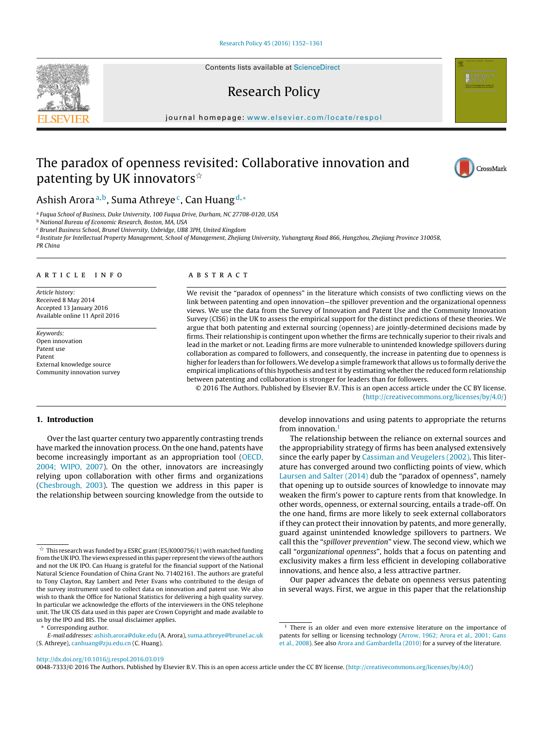Contents lists available at [ScienceDirect](http://www.sciencedirect.com/science/journal/00487333)

# Research Policy

iournal homepage: [www.elsevier.com/locate/respol](http://www.elsevier.com/locate/respol)

# The paradox of openness revisited: Collaborative innovation and patenting by UK innovators $^{\star}$

## Ashish Arora<sup>a,b</sup>, Suma Athreye<sup>c</sup>, Can Huang<sup>d,∗</sup>

<sup>a</sup> Fuqua School of Business, Duke University, 100 Fuqua Drive, Durham, NC 27708-0120, USA

**b National Bureau of Economic Research, Boston, MA, USA** 

<sup>c</sup> Brunel Business School, Brunel University, Uxbridge, UB8 3PH, United Kingdom

<sup>d</sup> Institute for Intellectual Property Management, School of Management, Zhejiang University, Yuhangtang Road 866, Hangzhou, Zhejiang Province 310058,

PR China

## a r t i c l e i n f o

Article history: Received 8 May 2014 Accepted 13 January 2016 Available online 11 April 2016

Keywords: Open innovation Patent use Patent External knowledge source Community innovation survey

## A B S T R A C T

We revisit the "paradox of openness" in the literature which consists of two conflicting views on the link between patenting and open innovation—the spillover prevention and the organizational openness views. We use the data from the Survey of Innovation and Patent Use and the Community Innovation Survey (CIS6) in the UK to assess the empirical support for the distinct predictions of these theories. We argue that both patenting and external sourcing (openness) are jointly-determined decisions made by firms. Their relationship is contingent upon whether the firms are technically superior to their rivals and lead in the market or not. Leading firms are more vulnerable to unintended knowledge spillovers during collaboration as compared to followers, and consequently, the increase in patenting due to openness is higher for leaders than for followers.We develop a simple framework that allows us to formally derive the empirical implications of this hypothesis and test it by estimating whether the reduced form relationship between patenting and collaboration is stronger for leaders than for followers.

© 2016 The Authors. Published by Elsevier B.V. This is an open access article under the CC BY license. [\(http://creativecommons.org/licenses/by/4.0/](http://creativecommons.org/licenses/by/4.0/))

## **1. Introduction**

Over the last quarter century two apparently contrasting trends have marked the innovation process. On the one hand, patents have become increasingly important as an appropriation tool ([OECD,](#page-9-0) [2004;](#page-9-0) [WIPO,](#page-9-0) [2007\).](#page-9-0) On the other, innovators are increasingly relying upon collaboration with other firms and organizations ([Chesbrough,](#page-9-0) [2003\).](#page-9-0) The question we address in this paper is the relationship between sourcing knowledge from the outside to

Corresponding author.

develop innovations and using patents to appropriate the returns from innovation  $<sup>1</sup>$ </sup>

The relationship between the reliance on external sources and the appropriability strategy of firms has been analysed extensively since the early paper by [Cassiman](#page-9-0) [and](#page-9-0) [Veugelers](#page-9-0) [\(2002\).](#page-9-0) This literature has converged around two conflicting points of view, which [Laursen](#page-9-0) [and](#page-9-0) [Salter](#page-9-0) [\(2014\)](#page-9-0) dub the "paradox of openness", namely that opening up to outside sources of knowledge to innovate may weaken the firm's power to capture rents from that knowledge. In other words, openness, or external sourcing, entails a trade-off. On the one hand, firms are more likely to seek external collaborators if they can protect their innovation by patents, and more generally, guard against unintended knowledge spillovers to partners. We call this the "spillover prevention" view. The second view, which we call "organizational openness", holds that a focus on patenting and exclusivity makes a firm less efficient in developing collaborative innovations, and hence also, a less attractive partner.

Our paper advances the debate on openness versus patenting in several ways. First, we argue in this paper that the relationship

0048-7333/© 2016 The Authors. Published by Elsevier B.V. This is an open access article under the CC BY license. ([http://creativecommons.org/licenses/by/4.0/\)](http://creativecommons.org/licenses/by/4.0/)





 $\stackrel{\scriptscriptstyle{\times}}{\scriptscriptstyle{\times}}$  This research was funded by a ESRC grant (ES/K000756/1) with matched funding from the UKIPO. The views expressed in this paper represent the views of the authors and not the UK IPO. Can Huang is grateful for the financial support of the National Natural Science Foundation of China Grant No. 71402161. The authors are grateful to Tony Clayton, Ray Lambert and Peter Evans who contributed to the design of the survey instrument used to collect data on innovation and patent use. We also wish to thank the Office for National Statistics for delivering a high quality survey. In particular we acknowledge the efforts of the interviewers in the ONS telephone unit. The UK CIS data used in this paper are Crown Copyright and made available to us by the IPO and BIS. The usual disclaimer applies.

E-mail addresses: [ashish.arora@duke.edu](mailto:ashish.arora@duke.edu) (A. Arora), [suma.athreye@brunel.ac.uk](mailto:suma.athreye@brunel.ac.uk) (S. Athreye), [canhuang@zju.edu.cn](mailto:canhuang@zju.edu.cn) (C. Huang).

<sup>&</sup>lt;sup>1</sup> There is an older and even more extensive literature on the importance of patents for selling or licensing technology ([Arrow,](#page-9-0) [1962;](#page-9-0) [Arora](#page-9-0) et [al.,](#page-9-0) [2001;](#page-9-0) [Gans](#page-9-0) et [al.,](#page-9-0) [2008\).](#page-9-0) See also [Arora](#page-9-0) [and](#page-9-0) [Gambardella](#page-9-0) [\(2010\)](#page-9-0) for a survey of the literature.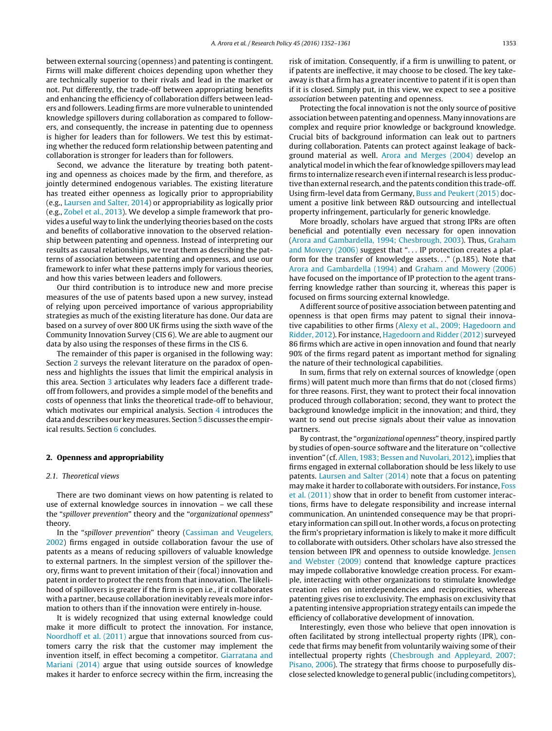between external sourcing (openness) and patenting is contingent. Firms will make different choices depending upon whether they are technically superior to their rivals and lead in the market or not. Put differently, the trade-off between appropriating benefits and enhancing the efficiency of collaboration differs between leaders and followers. Leading firms are more vulnerable to unintended knowledge spillovers during collaboration as compared to followers, and consequently, the increase in patenting due to openness is higher for leaders than for followers. We test this by estimating whether the reduced form relationship between patenting and collaboration is stronger for leaders than for followers.

Second, we advance the literature by treating both patenting and openness as choices made by the firm, and therefore, as jointly determined endogenous variables. The existing literature has treated either openness as logically prior to appropriability (e.g., [Laursen](#page-9-0) [and](#page-9-0) [Salter,](#page-9-0) [2014\)](#page-9-0) or appropriability as logically prior (e.g., [Zobel](#page-9-0) et [al.,](#page-9-0) [2013\).](#page-9-0) We develop a simple framework that provides a useful way to link the underlying theories based on the costs and benefits of collaborative innovation to the observed relationship between patenting and openness. Instead of interpreting our results as causal relationships, we treat them as describing the patterns of association between patenting and openness, and use our framework to infer what these patterns imply for various theories, and how this varies between leaders and followers.

Our third contribution is to introduce new and more precise measures of the use of patents based upon a new survey, instead of relying upon perceived importance of various appropriability strategies as much of the existing literature has done. Our data are based on a survey of over 800 UK firms using the sixth wave of the Community Innovation Survey (CIS 6). We are able to augment our data by also using the responses of these firms in the CIS 6.

The remainder of this paper is organised in the following way: Section 2 surveys the relevant literature on the paradox of openness and highlights the issues that limit the empirical analysis in this area. Section [3](#page-3-0) articulates why leaders face a different tradeoff from followers, and provides a simple model of the benefits and costs of openness that links the theoretical trade-off to behaviour, which motivates our empirical analysis. Section [4](#page-4-0) introduces the data and describes our key measures. Section [5](#page-5-0) discusses the empirical results. Section [6](#page-8-0) concludes.

#### **2. Openness and appropriability**

#### 2.1. Theoretical views

There are two dominant views on how patenting is related to use of external knowledge sources in innovation – we call these the "spillover prevention" theory and the "organizational openness" theory.

In the "spillover prevention" theory [\(Cassiman](#page-9-0) [and](#page-9-0) [Veugelers,](#page-9-0) [2002\)](#page-9-0) firms engaged in outside collaboration favour the use of patents as a means of reducing spillovers of valuable knowledge to external partners. In the simplest version of the spillover theory, firms want to prevent imitation of their (focal) innovation and patent in order to protect the rents from that innovation. The likelihood of spillovers is greater if the firm is open i.e., if it collaborates with a partner, because collaboration inevitably reveals more information to others than if the innovation were entirely in-house.

It is widely recognized that using external knowledge could make it more difficult to protect the innovation. For instance, [Noordhoff](#page-9-0) et [al.](#page-9-0) [\(2011\)](#page-9-0) argue that innovations sourced from customers carry the risk that the customer may implement the invention itself, in effect becoming a competitor. [Giarratana](#page-9-0) [and](#page-9-0) [Mariani](#page-9-0) [\(2014\)](#page-9-0) argue that using outside sources of knowledge makes it harder to enforce secrecy within the firm, increasing the risk of imitation. Consequently, if a firm is unwilling to patent, or if patents are ineffective, it may choose to be closed. The key takeaway is that a firm has a greater incentive to patent if it is open than if it is closed. Simply put, in this view, we expect to see a positive association between patenting and openness.

Protecting the focal innovation is not the only source of positive association between patenting and openness. Many innovations are complex and require prior knowledge or background knowledge. Crucial bits of background information can leak out to partners during collaboration. Patents can protect against leakage of background material as well. [Arora](#page-9-0) [and](#page-9-0) [Merges](#page-9-0) [\(2004\)](#page-9-0) develop an analytical model in which the fear of knowledge spillovers may lead firms to internalize research even ifinternal research is less productive than external research, and the patents condition this trade-off. Using firm-level data from Germany, [Buss](#page-9-0) [and](#page-9-0) [Peukert](#page-9-0) [\(2015\)](#page-9-0) document a positive link between R&D outsourcing and intellectual property infringement, particularly for generic knowledge.

More broadly, scholars have argued that strong IPRs are often beneficial and potentially even necessary for open innovation [\(Arora](#page-9-0) [and](#page-9-0) [Gambardella,](#page-9-0) [1994;](#page-9-0) [Chesbrough,](#page-9-0) [2003\).](#page-9-0) Thus, [Graham](#page-9-0) [and](#page-9-0) [Mowery](#page-9-0) [\(2006\)](#page-9-0) suggest that "... IP protection creates a platform for the transfer of knowledge assets. . ." (p.185). Note that [Arora](#page-9-0) [and](#page-9-0) [Gambardella](#page-9-0) [\(1994\)](#page-9-0) and [Graham](#page-9-0) [and](#page-9-0) [Mowery](#page-9-0) [\(2006\)](#page-9-0) have focused on the importance of IP protection to the agent transferring knowledge rather than sourcing it, whereas this paper is focused on firms sourcing external knowledge.

A different source of positive association between patenting and openness is that open firms may patent to signal their innovative capabilities to other firms ([Alexy](#page-9-0) et [al.,](#page-9-0) [2009;](#page-9-0) [Hagedoorn](#page-9-0) [and](#page-9-0) [Ridder,](#page-9-0) [2012\).](#page-9-0) For instance, [Hagedoorn](#page-9-0) [and](#page-9-0) [Ridder](#page-9-0) [\(2012\)](#page-9-0) surveyed 86 firms which are active in open innovation and found that nearly 90% of the firms regard patent as important method for signaling the nature of their technological capabilities.

In sum, firms that rely on external sources of knowledge (open firms) will patent much more than firms that do not (closed firms) for three reasons. First, they want to protect their focal innovation produced through collaboration; second, they want to protect the background knowledge implicit in the innovation; and third, they want to send out precise signals about their value as innovation partners.

By contrast, the "organizational openness" theory, inspired partly by studies of open-source software and the literature on "collective invention" (cf. [Allen,](#page-9-0) [1983;](#page-9-0) [Bessen](#page-9-0) [and](#page-9-0) [Nuvolari,](#page-9-0) [2012\),](#page-9-0) implies that firms engaged in external collaboration should be less likely to use patents. [Laursen](#page-9-0) [and](#page-9-0) [Salter](#page-9-0) [\(2014\)](#page-9-0) note that a focus on patenting may make it harder to collaborate with outsiders. For instance, [Foss](#page-9-0) et [al.](#page-9-0) [\(2011\)](#page-9-0) show that in order to benefit from customer interactions, firms have to delegate responsibility and increase internal communication. An unintended consequence may be that proprietary information can spill out. In other words, a focus on protecting the firm's proprietary information is likely to make it more difficult to collaborate with outsiders. Other scholars have also stressed the tension between IPR and openness to outside knowledge. [Jensen](#page-9-0) [and](#page-9-0) [Webster](#page-9-0) [\(2009\)](#page-9-0) contend that knowledge capture practices may impede collaborative knowledge creation process. For example, interacting with other organizations to stimulate knowledge creation relies on interdependencies and reciprocities, whereas patenting gives rise to exclusivity. The emphasis on exclusivity that a patenting intensive appropriation strategy entails can impede the efficiency of collaborative development of innovation.

Interestingly, even those who believe that open innovation is often facilitated by strong intellectual property rights (IPR), concede that firms may benefit from voluntarily waiving some of their intellectual property rights [\(Chesbrough](#page-9-0) [and](#page-9-0) [Appleyard,](#page-9-0) [2007;](#page-9-0) [Pisano,](#page-9-0) [2006\).](#page-9-0) The strategy that firms choose to purposefully disclose selected knowledge to general public (including competitors),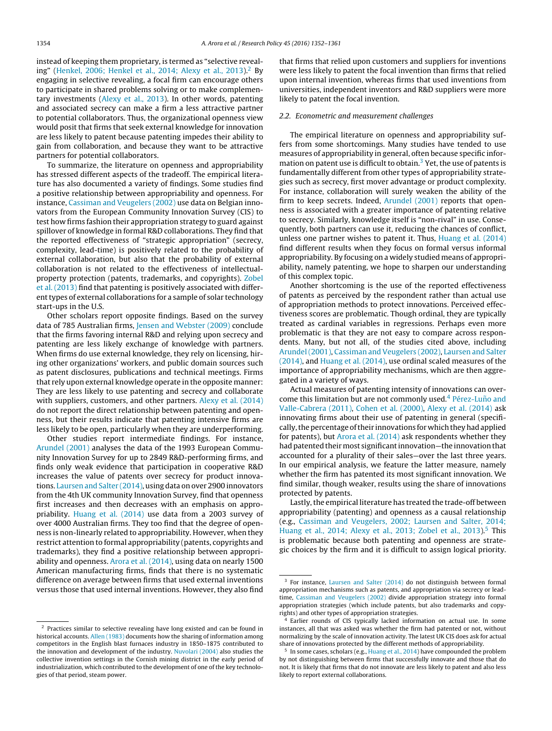instead of keeping them proprietary, is termed as "selective revealing" ([Henkel,](#page-9-0) [2006;](#page-9-0) [Henkel](#page-9-0) et [al.,](#page-9-0) [2014;](#page-9-0) [Alexy](#page-9-0) et [al.,](#page-9-0) [2013\).](#page-9-0)2 By engaging in selective revealing, a focal firm can encourage others to participate in shared problems solving or to make complementary investments [\(Alexy](#page-9-0) et [al.,](#page-9-0) [2013\).](#page-9-0) In other words, patenting and associated secrecy can make a firm a less attractive partner to potential collaborators. Thus, the organizational openness view would posit that firms that seek external knowledge for innovation are less likely to patent because patenting impedes their ability to gain from collaboration, and because they want to be attractive partners for potential collaborators.

To summarize, the literature on openness and appropriability has stressed different aspects of the tradeoff. The empirical literature has also documented a variety of findings. Some studies find a positive relationship between appropriability and openness. For instance, [Cassiman](#page-9-0) [and](#page-9-0) [Veugelers](#page-9-0) [\(2002\)](#page-9-0) use data on Belgian innovators from the European Community Innovation Survey (CIS) to test how firms fashion their appropriation strategy to guard against spillover of knowledge in formal R&D collaborations. They find that the reported effectiveness of "strategic appropriation" (secrecy, complexity, lead-time) is positively related to the probability of external collaboration, but also that the probability of external collaboration is not related to the effectiveness of intellectualproperty protection (patents, trademarks, and copyrights). [Zobel](#page-9-0) et [al.](#page-9-0) [\(2013\)](#page-9-0) find that patenting is positively associated with different types of external collaborations for a sample of solar technology start-ups in the U.S.

Other scholars report opposite findings. Based on the survey data of 785 Australian firms, [Jensen](#page-9-0) [and](#page-9-0) [Webster](#page-9-0) [\(2009\)](#page-9-0) conclude that the firms favoring internal R&D and relying upon secrecy and patenting are less likely exchange of knowledge with partners. When firms do use external knowledge, they rely on licensing, hiring other organizations' workers, and public domain sources such as patent disclosures, publications and technical meetings. Firms that rely upon external knowledge operate in the opposite manner: They are less likely to use patenting and secrecy and collaborate with suppliers, customers, and other partners. [Alexy](#page-9-0) et [al.](#page-9-0) [\(2014\)](#page-9-0) do not report the direct relationship between patenting and openness, but their results indicate that patenting intensive firms are less likely to be open, particularly when they are underperforming.

Other studies report intermediate findings. For instance, [Arundel](#page-9-0) [\(2001\)](#page-9-0) analyses the data of the 1993 European Community Innovation Survey for up to 2849 R&D-performing firms, and finds only weak evidence that participation in cooperative R&D increases the value of patents over secrecy for product innovations. [Laursen](#page-9-0) [and](#page-9-0) [Salter](#page-9-0) [\(2014\),](#page-9-0) using data on over 2900 innovators from the 4th UK community Innovation Survey, find that openness first increases and then decreases with an emphasis on appropriability. [Huang](#page-9-0) et [al.](#page-9-0) [\(2014\)](#page-9-0) use data from a 2003 survey of over 4000 Australian firms. They too find that the degree of openness is non-linearly related to appropriability. However, when they restrict attention to formal appropriability (patents, copyrights and trademarks), they find a positive relationship between appropriability and openness. [Arora](#page-9-0) et [al.](#page-9-0) [\(2014\),](#page-9-0) using data on nearly 1500 American manufacturing firms, finds that there is no systematic difference on average between firms that used external inventions versus those that used internal inventions. However, they also find

that firms that relied upon customers and suppliers for inventions were less likely to patent the focal invention than firms that relied upon internal invention, whereas firms that used inventions from universities, independent inventors and R&D suppliers were more likely to patent the focal invention.

#### 2.2. Econometric and measurement challenges

The empirical literature on openness and appropriability suffers from some shortcomings. Many studies have tended to use measures of appropriability in general, often because specific information on patent use is difficult to obtain. $3$  Yet, the use of patents is fundamentally different from other types of appropriability strategies such as secrecy, first mover advantage or product complexity. For instance, collaboration will surely weaken the ability of the firm to keep secrets. Indeed, [Arundel](#page-9-0) [\(2001\)](#page-9-0) reports that openness is associated with a greater importance of patenting relative to secrecy. Similarly, knowledge itself is "non-rival" in use. Consequently, both partners can use it, reducing the chances of conflict, unless one partner wishes to patent it. Thus, [Huang](#page-9-0) et [al.](#page-9-0) [\(2014\)](#page-9-0) find different results when they focus on formal versus informal appropriability. By focusing on a widely studied means of appropriability, namely patenting, we hope to sharpen our understanding of this complex topic.

Another shortcoming is the use of the reported effectiveness of patents as perceived by the respondent rather than actual use of appropriation methods to protect innovations. Perceived effectiveness scores are problematic. Though ordinal, they are typically treated as cardinal variables in regressions. Perhaps even more problematic is that they are not easy to compare across respondents. Many, but not all, of the studies cited above, including [Arundel](#page-9-0) [\(2001\),](#page-9-0) [Cassiman](#page-9-0) [and](#page-9-0) [Veugelers](#page-9-0) [\(2002\),](#page-9-0) [Laursen](#page-9-0) [and](#page-9-0) [Salter](#page-9-0) [\(2014\),](#page-9-0) and [Huang](#page-9-0) et [al.](#page-9-0) [\(2014\),](#page-9-0) use ordinal scaled measures of the importance of appropriability mechanisms, which are then aggregated in a variety of ways.

Actual measures of patenting intensity of innovations can overcome this limitation but are not commonly used.<sup>4</sup> Pérez-Luño [and](#page-9-0) [Valle-Cabrera](#page-9-0) [\(2011\),](#page-9-0) [Cohen](#page-9-0) et [al.](#page-9-0) [\(2000\),](#page-9-0) [Alexy](#page-9-0) et [al.](#page-9-0) [\(2014\)](#page-9-0) ask innovating firms about their use of patenting in general (specifically, the percentage of their innovations for which they had applied for patents), but [Arora](#page-9-0) et [al.](#page-9-0) [\(2014\)](#page-9-0) ask respondents whether they had patented their most significant innovation—the innovation that accounted for a plurality of their sales—over the last three years. In our empirical analysis, we feature the latter measure, namely whether the firm has patented its most significant innovation. We find similar, though weaker, results using the share of innovations protected by patents.

Lastly, the empirical literature has treated the trade-off between appropriability (patenting) and openness as a causal relationship (e.g., [Cassiman](#page-9-0) [and](#page-9-0) [Veugelers,](#page-9-0) [2002;](#page-9-0) [Laursen](#page-9-0) [and](#page-9-0) [Salter,](#page-9-0) [2014;](#page-9-0) [Huang](#page-9-0) et [al.,](#page-9-0) [2014;](#page-9-0) [Alexy](#page-9-0) et al., [2013;](#page-9-0) [Zobel](#page-9-0) et al., 2013).<sup>5</sup> This is problematic because both patenting and openness are strategic choices by the firm and it is difficult to assign logical priority.

<sup>2</sup> Practices similar to selective revealing have long existed and can be found in historical accounts. [Allen](#page-9-0) [\(1983\)](#page-9-0) documents how the sharing of information among competitors in the English blast furnaces industry in 1850–1875 contributed to the innovation and development of the industry. [Nuvolari](#page-9-0) [\(2004\)](#page-9-0) also studies the collective invention settings in the Cornish mining district in the early period of industrialization, which contributed to the development of one of the key technologies of that period, steam power.

<sup>&</sup>lt;sup>3</sup> For instance, [Laursen](#page-9-0) [and](#page-9-0) [Salter](#page-9-0) [\(2014\)](#page-9-0) do not distinguish between formal appropriation mechanisms such as patents, and appropriation via secrecy or leadtime, [Cassiman](#page-9-0) [and](#page-9-0) [Veugelers](#page-9-0) [\(2002\)](#page-9-0) divide appropriation strategy into formal appropriation strategies (which include patents, but also trademarks and copyrights) and other types of appropriation strategies.

<sup>4</sup> Earlier rounds of CIS typically lacked information on actual use. In some instances, all that was asked was whether the firm had patented or not, without normalizing by the scale of innovation activity. The latest UK CIS does ask for actual share of innovations protected by the different methods of appropriability.

<sup>&</sup>lt;sup>5</sup> In some cases, scholars (e.g., [Huang](#page-9-0) et [al.,](#page-9-0) [2014\)](#page-9-0) have compounded the problem by not distinguishing between firms that successfully innovate and those that do not. It is likely that firms that do not innovate are less likely to patent and also less likely to report external collaborations.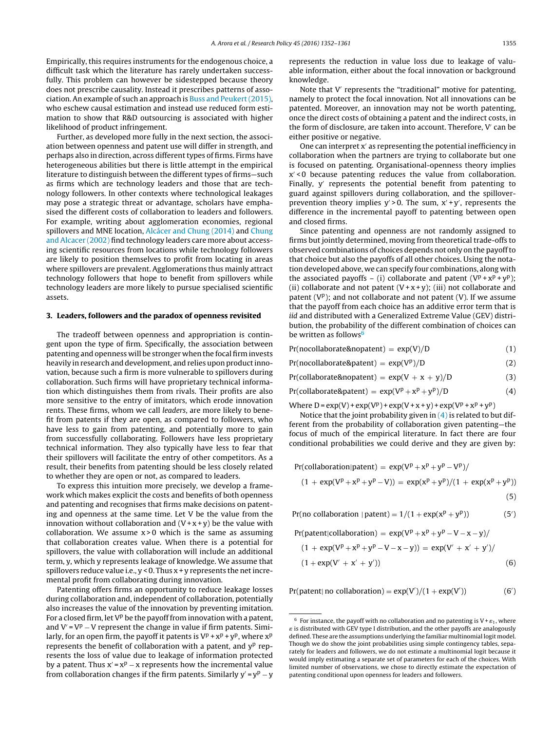<span id="page-3-0"></span>Empirically, this requires instruments for the endogenous choice, a difficult task which the literature has rarely undertaken successfully. This problem can however be sidestepped because theory does not prescribe causality. Instead it prescribes patterns of association. An example of such an approach is [Buss](#page-9-0) [and](#page-9-0) [Peukert\(2015\),](#page-9-0) who eschew causal estimation and instead use reduced form estimation to show that R&D outsourcing is associated with higher likelihood of product infringement.

Further, as developed more fully in the next section, the association between openness and patent use will differ in strength, and perhaps also in direction, across different types of firms. Firms have heterogeneous abilities but there is little attempt in the empirical literature to distinguish between the different types of firms—such as firms which are technology leaders and those that are technology followers. In other contexts where technological leakages may pose a strategic threat or advantage, scholars have emphasised the different costs of collaboration to leaders and followers. For example, writing about agglomeration economies, regional spillovers and MNE location, [Alcácer](#page-9-0) [and](#page-9-0) [Chung](#page-9-0) [\(2014\)](#page-9-0) and [Chung](#page-9-0) [and](#page-9-0) [Alcacer](#page-9-0) [\(2002\)](#page-9-0) find technology leaders care more about accessing scientific resources from locations while technology followers are likely to position themselves to profit from locating in areas where spillovers are prevalent. Agglomerations thus mainly attract technology followers that hope to benefit from spillovers while technology leaders are more likely to pursue specialised scientific assets.

## **3. Leaders, followers and the paradox of openness revisited**

The tradeoff between openness and appropriation is contingent upon the type of firm. Specifically, the association between patenting and openness will be stronger when the focal firm invests heavily in research and development, and relies upon product innovation, because such a firm is more vulnerable to spillovers during collaboration. Such firms will have proprietary technical information which distinguishes them from rivals. Their profits are also more sensitive to the entry of imitators, which erode innovation rents. These firms, whom we call leaders, are more likely to benefit from patents if they are open, as compared to followers, who have less to gain from patenting, and potentially more to gain from successfully collaborating. Followers have less proprietary technical information. They also typically have less to fear that their spillovers will facilitate the entry of other competitors. As a result, their benefits from patenting should be less closely related to whether they are open or not, as compared to leaders.

To express this intuition more precisely, we develop a framework which makes explicit the costs and benefits of both openness and patenting and recognises that firms make decisions on patenting and openness at the same time. Let V be the value from the innovation without collaboration and  $(V + x + y)$  be the value with collaboration. We assume  $x > 0$  which is the same as assuming that collaboration creates value. When there is a potential for spillovers, the value with collaboration will include an additional term, y, which y represents leakage of knowledge. We assume that spillovers reduce value i.e.,  $y < 0$ . Thus  $x + y$  represents the net incremental profit from collaborating during innovation.

Patenting offers firms an opportunity to reduce leakage losses during collaboration and, independent of collaboration, potentially also increases the value of the innovation by preventing imitation. For a closed firm, let  $V^p$  be the payoff from innovation with a patent, and  $V' = V^p - V$  represent the change in value if firm patents. Similarly, for an open firm, the payoff it patents is  $V^p + x^p + y^p$ , where  $x^p$ represents the benefit of collaboration with a patent, and y<sup>p</sup> represents the loss of value due to leakage of information protected by a patent. Thus  $x' = x^p - x$  represents how the incremental value from collaboration changes if the firm patents. Similarly  $y' = y^p - y$  represents the reduction in value loss due to leakage of valuable information, either about the focal innovation or background knowledge.

Note that V' represents the "traditional" motive for patenting, namely to protect the focal innovation. Not all innovations can be patented. Moreover, an innovation may not be worth patenting, once the direct costs of obtaining a patent and the indirect costs, in the form of disclosure, are taken into account. Therefore, V' can be either positive or negative.

One can interpret x' as representing the potential inefficiency in collaboration when the partners are trying to collaborate but one is focused on patenting. Organisational-openness theory implies x < 0 because patenting reduces the value from collaboration. Finally,  $y'$  represents the potential benefit from patenting to guard against spillovers during collaboration, and the spilloverprevention theory implies  $y' > 0$ . The sum,  $x' + y'$ , represents the difference in the incremental payoff to patenting between open and closed firms.

Since patenting and openness are not randomly assigned to firms but jointly determined, moving from theoretical trade-offs to observed combinations of choices depends not only on the payoffto that choice but also the payoffs of all other choices. Using the notation developed above, we can specify four combinations, along with the associated payoffs – (i) collaborate and patent  $(V^p + x^p + y^p)$ ; (ii) collaborate and not patent  $(V+x+y)$ ; (iii) not collaborate and patent ( $V<sup>p</sup>$ ); and not collaborate and not patent (V). If we assume that the payoff from each choice has an additive error term that is iid and distributed with a Generalized Extreme Value (GEV) distribution, the probability of the different combination of choices can be written as follows $6$ 

 $Pr(nocollaborate\&nopattention) = exp(V)/D$  (1)

 $Pr(nocollaborate\&pattern) = exp(V<sup>p</sup>)/D$  (2)

 $Pr(collaborate\&nopatement) = exp(V + x + y)/D$  (3)

 $Pr(collaborate\&pattern) = exp(V^p + x^p + y^p)/D$  (4)

Where  $D = exp(V) + exp(V^p) + exp(V+x+y) + exp(V^p + x^p + y^p)$ 

Notice that the joint probability given in  $(4)$  is related to but different from the probability of collaboration given patenting—the focus of much of the empirical literature. In fact there are four conditional probabilities we could derive and they are given by:

$$
Pr(collaboration|pattern) = exp(Vp + xp + yp - Vp)/
$$

$$
(1 + \exp(V^{p} + x^{p} + y^{p} - V)) = \exp(x^{p} + y^{p})/(1 + \exp(x^{p} + y^{p}))
$$

$$
(5)
$$

Pr(no collaboration | patent) =  $1/(1 + \exp(x^p + y^p))$  $(5')$ 

 $Pr(\text{pattern}| \text{collision}) = \exp(V^p + x^p + v^p - V - x - v)$ 

$$
(1 + \exp(V^{p} + x^{p} + y^{p} - V - x - y)) = \exp(V' + x' + y')/(1 + \exp(V' + x' + y'))
$$
\n(6)

 $Pr(\text{pattern} | \text{no collaboration}) = exp(V')/(1 + exp(V'))$ (6)  $(6')$ 

 $6$  For instance, the payoff with no collaboration and no patenting is  $V + \varepsilon_1$ , where  $\varepsilon$  is distributed with GEV type I distribution, and the other payoffs are analogously defined. These are the assumptions underlying the familiar multinomial logit model. Though we do show the joint probabilities using simple contingency tables, separately for leaders and followers, we do not estimate a multinomial logit because it would imply estimating a separate set of parameters for each of the choices. With limited number of observations, we chose to directly estimate the expectation of patenting conditional upon openness for leaders and followers.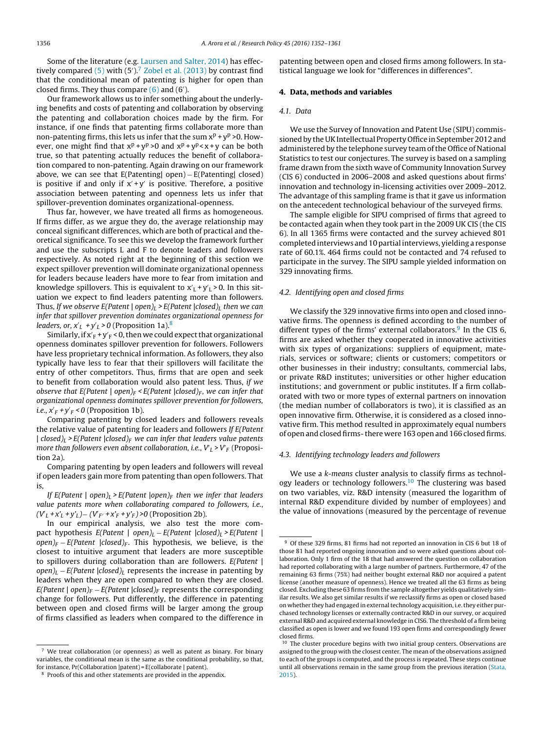<span id="page-4-0"></span>Some of the literature (e.g. [Laursen](#page-9-0) [and](#page-9-0) [Salter,](#page-9-0) [2014\)](#page-9-0) has effectively compared  $(5)$  with  $(5')$ .<sup>7</sup> [Zobel](#page-9-0) et [al.](#page-9-0)  $(2013)$  by contrast find that the conditional mean of patenting is higher for open than closed firms. They thus compare [\(6\)](#page-3-0) and (6').

Our framework allows us to infer something about the underlying benefits and costs of patenting and collaboration by observing the patenting and collaboration choices made by the firm. For instance, if one finds that patenting firms collaborate more than non-patenting firms, this lets us infer that the sum  $x^p + y^p > 0$ . However, one might find that  $x^p + y^p > 0$  and  $x^p + y^p < x + y$  can be both true, so that patenting actually reduces the benefit of collaboration compared to non-patenting. Again drawing on our framework above, we can see that E(Patenting| open) − E(Patenting| closed) is positive if and only if  $x' + y'$  is positive. Therefore, a positive association between patenting and openness lets us infer that spillover-prevention dominates organizational-openness.

Thus far, however, we have treated all firms as homogeneous. If firms differ, as we argue they do, the average relationship may conceal significant differences, which are both of practical and theoretical significance. To see this we develop the framework further and use the subscripts L and F to denote leaders and followers respectively. As noted right at the beginning of this section we expect spillover prevention will dominate organizational openness for leaders because leaders have more to fear from imitation and knowledge spillovers. This is equivalent to  $x'_L + y'_L$  > 0. In this situation we expect to find leaders patenting more than followers. Thus, If we observe E(Patent | open)<sub>L</sub> > E(Patent | closed)<sub>L</sub> then we can infer that spillover prevention dominates organizational openness for *leaders, or,*  $x'_{L}$  *+y'<sub>L</sub>* > 0 (Proposition 1a).<sup>8</sup>

Similarly, if  $x_F' + y_F' < 0$ , then we could expect that organizational openness dominates spillover prevention for followers. Followers have less proprietary technical information. As followers, they also typically have less to fear that their spillovers will facilitate the entry of other competitors. Thus, firms that are open and seek to benefit from collaboration would also patent less. Thus, if we observe that E(Patent | open)<sub>F</sub> < E(Patent | closed)<sub>F</sub>, we can infer that organizational openness dominates spillover prevention for followers, *i.e.,*  $x'_F + y'_F < 0$  (Proposition 1b).

Comparing patenting by closed leaders and followers reveals the relative value of patenting for leaders and followers If E(Patent  $| \nclosed)_L$  > E(Patent  $| \nclosed)_F$  we can infer that leaders value patents more than followers even absent collaboration, i.e.,  $V_L$  >  $V_F$  (Proposition 2a).

Comparing patenting by open leaders and followers will reveal if open leaders gain more from patenting than open followers. That is,

If E(Patent | open)<sub>L</sub> > E(Patent | open)<sub>F</sub> then we infer that leaders value patents more when collaborating compared to followers, i.e.,  $(V'_{L} + x'_{L} + y'_{L}) - (V'_{F'} + x'_{F} + y'_{F}) > 0$  (Proposition 2b).

In our empirical analysis, we also test the more compact hypothesis  $E(Paten t | open)_L - E(Paten t | close d)_L > E(Paten t |$ open)<sub>F</sub> – E(Patent |closed)<sub>F</sub>. This hypothesis, we believe, is the closest to intuitive argument that leaders are more susceptible to spillovers during collaboration than are followers.  $E(Patent |$ open)<sub>L</sub> − E(Patent |closed)<sub>L</sub> represents the increase in patenting by leaders when they are open compared to when they are closed. E(Patent | open)<sub>F</sub> – E(Patent | closed)<sub>F</sub> represents the corresponding change for followers. Put differently, the difference in patenting between open and closed firms will be larger among the group of firms classified as leaders when compared to the difference in

patenting between open and closed firms among followers. In statistical language we look for "differences in differences".

## **4. Data, methods and variables**

## 4.1. Data

We use the Survey of Innovation and Patent Use (SIPU) commissioned by the UK Intellectual Property Office in September 2012 and administered by the telephone survey team of the Office of National Statistics to test our conjectures. The survey is based on a sampling frame drawn from the sixth wave of Community Innovation Survey (CIS 6) conducted in 2006–2008 and asked questions about firms' innovation and technology in-licensing activities over 2009–2012. The advantage of this sampling frame is that it gave us information on the antecedent technological behaviour of the surveyed firms.

The sample eligible for SIPU comprised of firms that agreed to be contacted again when they took part in the 2009 UK CIS (the CIS 6). In all 1365 firms were contacted and the survey achieved 801 completed interviews and 10 partialinterviews, yielding a response rate of 60.1%. 464 firms could not be contacted and 74 refused to participate in the survey. The SIPU sample yielded information on 329 innovating firms.

#### 4.2. Identifying open and closed firms

We classify the 329 innovative firms into open and closed innovative firms. The openness is defined according to the number of different types of the firms' external collaborators. $9$  In the CIS 6, firms are asked whether they cooperated in innovative activities with six types of organizations: suppliers of equipment, materials, services or software; clients or customers; competitors or other businesses in their industry; consultants, commercial labs, or private R&D institutes; universities or other higher education institutions; and government or public institutes. If a firm collaborated with two or more types of external partners on innovation (the median number of collaborators is two), it is classified as an open innovative firm. Otherwise, it is considered as a closed innovative firm. This method resulted in approximately equal numbers of open and closed firms- there were 163 open and 166 closed firms.

#### 4.3. Identifying technology leaders and followers

We use a k-means cluster analysis to classify firms as technology leaders or technology followers.<sup>10</sup> The clustering was based on two variables, viz. R&D intensity (measured the logarithm of internal R&D expenditure divided by number of employees) and the value of innovations (measured by the percentage of revenue

 $7$  We treat collaboration (or openness) as well as patent as binary. For binary variables, the conditional mean is the same as the conditional probability, so that, for instance, Pr(Collaboration |patent) = E(collaborate | patent).

<sup>8</sup> Proofs of this and other statements are provided in the appendix.

<sup>9</sup> Of these 329 firms, 81 firms had not reported an innovation in CIS 6 but 18 of those 81 had reported ongoing innovation and so were asked questions about collaboration. Only 1 firm of the 18 that had answered the question on collaboration had reported collaborating with a large number of partners. Furthermore, 47 of the remaining 63 firms (75%) had neither bought external R&D nor acquired a patent license (another measure of openness). Hence we treated all the 63 firms as being closed. Excluding these 63 firms from the sample altogether yields qualitatively similar results. We also get similar results if we reclassify firms as open or closed based on whether they had engaged in external technology acquisition, i.e. they either purchased technology licenses or externally contracted R&D in our survey, or acquired external R&D and acquired external knowledge in CIS6. The threshold of a firm being classified as open is lower and we found 193 open firms and correspondingly fewer closed firms.

 $10$  The cluster procedure begins with two initial group centers. Observations are assigned to the group with the closest center. The mean of the observations assigned to each of the groups is computed, and the process is repeated. These steps continue until all observations remain in the same group from the previous iteration [\(Stata,](#page-9-0) [2015\).](#page-9-0)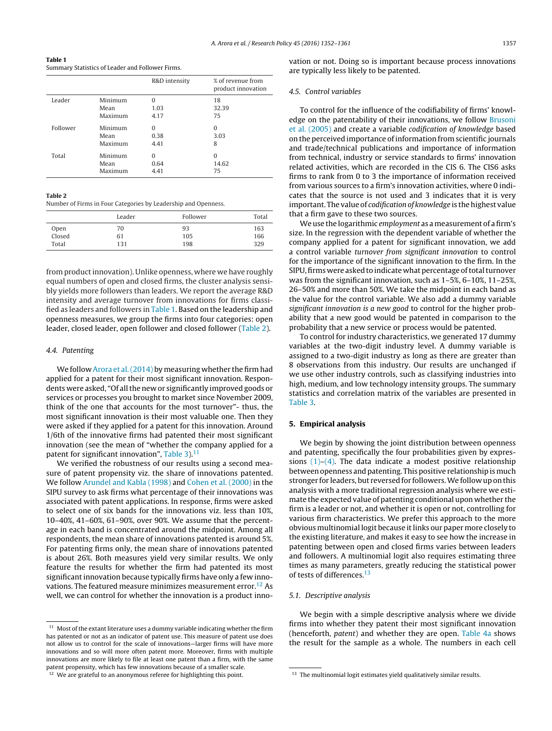<span id="page-5-0"></span>**Table 1** Summary Statistics of Leader and Follower Firms.

|          |         | R&D intensity | % of revenue from<br>product innovation |
|----------|---------|---------------|-----------------------------------------|
| Leader   | Minimum | $\Omega$      | 18                                      |
|          | Mean    | 1.03          | 32.39                                   |
|          | Maximum | 4.17          | 75                                      |
| Follower | Minimum | $\Omega$      | $\Omega$                                |
|          | Mean    | 0.38          | 3.03                                    |
|          | Maximum | 4.41          | 8                                       |
| Total    | Minimum | $\Omega$      | $\Omega$                                |
|          | Mean    | 0.64          | 14.62                                   |
|          | Maximum | 4.41          | 75                                      |

#### **Table 2**

Number of Firms in Four Categories by Leadership and Openness.

|        | Leader | Follower | Total |
|--------|--------|----------|-------|
| Open   | 70     | 93       | 163   |
| Closed | 61     | 105      | 166   |
| Total  | 131    | 198      | 329   |

from product innovation). Unlike openness, where we have roughly equal numbers of open and closed firms, the cluster analysis sensibly yields more followers than leaders. We report the average R&D intensity and average turnover from innovations for firms classified as leaders and followers in Table 1. Based on the leadership and openness measures, we group the firms into four categories: open leader, closed leader, open follower and closed follower (Table 2).

#### 4.4. Patenting

We follow [Arora](#page-9-0) et [al.\(2014\)](#page-9-0) by measuring whether the firm had applied for a patent for their most significant innovation. Respondents were asked, "Of all the new or significantly improved goods or services or processes you brought to market since November 2009, think of the one that accounts for the most turnover"- thus, the most significant innovation is their most valuable one. Then they were asked if they applied for a patent for this innovation. Around 1/6th of the innovative firms had patented their most significant innovation (see the mean of "whether the company applied for a patent for significant innovation", [Table](#page-6-0) 3). $11$ 

We verified the robustness of our results using a second measure of patent propensity viz. the share of innovations patented. We follow [Arundel](#page-9-0) [and](#page-9-0) [Kabla](#page-9-0) [\(1998\)](#page-9-0) and [Cohen](#page-9-0) et [al.](#page-9-0) [\(2000\)](#page-9-0) in the SIPU survey to ask firms what percentage of their innovations was associated with patent applications. In response, firms were asked to select one of six bands for the innovations viz. less than 10%, 10–40%, 41–60%, 61–90%, over 90%. We assume that the percentage in each band is concentrated around the midpoint. Among all respondents, the mean share of innovations patented is around 5%. For patenting firms only, the mean share of innovations patented is about 26%. Both measures yield very similar results. We only feature the results for whether the firm had patented its most significant innovation because typically firms have only a few innovations. The featured measure minimizes measurement error.<sup>12</sup> As well, we can control for whether the innovation is a product innovation or not. Doing so is important because process innovations are typically less likely to be patented.

#### 4.5. Control variables

To control for the influence of the codifiability of firms' knowledge on the patentability of their innovations, we follow [Brusoni](#page-9-0) et [al.](#page-9-0) [\(2005\)](#page-9-0) and create a variable codification of knowledge based on the perceived importance of information from scientific journals and trade/technical publications and importance of information from technical, industry or service standards to firms' innovation related activities, which are recorded in the CIS 6. The CIS6 asks firms to rank from 0 to 3 the importance of information received from various sources to a firm's innovation activities, where 0 indicates that the source is not used and 3 indicates that it is very important. The value of codification of knowledge is the highest value that a firm gave to these two sources.

We use the logarithmic employment as a measurement of a firm's size. In the regression with the dependent variable of whether the company applied for a patent for significant innovation, we add a control variable turnover from significant innovation to control for the importance of the significant innovation to the firm. In the SIPU, firms were asked to indicate what percentage of total turnover was from the significant innovation, such as 1–5%, 6–10%, 11–25%, 26–50% and more than 50%. We take the midpoint in each band as the value for the control variable. We also add a dummy variable significant innovation is a new good to control for the higher probability that a new good would be patented in comparison to the probability that a new service or process would be patented.

To control for industry characteristics, we generated 17 dummy variables at the two-digit industry level. A dummy variable is assigned to a two-digit industry as long as there are greater than 8 observations from this industry. Our results are unchanged if we use other industry controls, such as classifying industries into high, medium, and low technology intensity groups. The summary statistics and correlation matrix of the variables are presented in [Table](#page-6-0) 3.

## **5. Empirical analysis**

We begin by showing the joint distribution between openness and patenting, specifically the four probabilities given by expressions  $(1)-(4)$ . The data indicate a modest positive relationship between openness and patenting. This positive relationship is much stronger for leaders, but reversed for followers. We follow up on this analysis with a more traditional regression analysis where we estimate the expected value of patenting conditional upon whether the firm is a leader or not, and whether it is open or not, controlling for various firm characteristics. We prefer this approach to the more obvious multinomial logit because itlinks our paper more closely to the existing literature, and makes it easy to see how the increase in patenting between open and closed firms varies between leaders and followers. A multinomial logit also requires estimating three times as many parameters, greatly reducing the statistical power of tests of differences.<sup>13</sup>

## 5.1. Descriptive analysis

We begin with a simple descriptive analysis where we divide firms into whether they patent their most significant innovation (henceforth, *patent*) and whether they are open. [Table](#page-6-0) 4a shows the result for the sample as a whole. The numbers in each cell

 $11$  Most of the extant literature uses a dummy variable indicating whether the firm has patented or not as an indicator of patent use. This measure of patent use does not allow us to control for the scale of innovations—larger firms will have more innovations and so will more often patent more. Moreover, firms with multiple innovations are more likely to file at least one patent than a firm, with the same patent propensity, which has few innovations because of a smaller scale.

<sup>&</sup>lt;sup>12</sup> We are grateful to an anonymous referee for highlighting this point.

 $^{\rm 13}$  The multinomial logit estimates yield qualitatively similar results.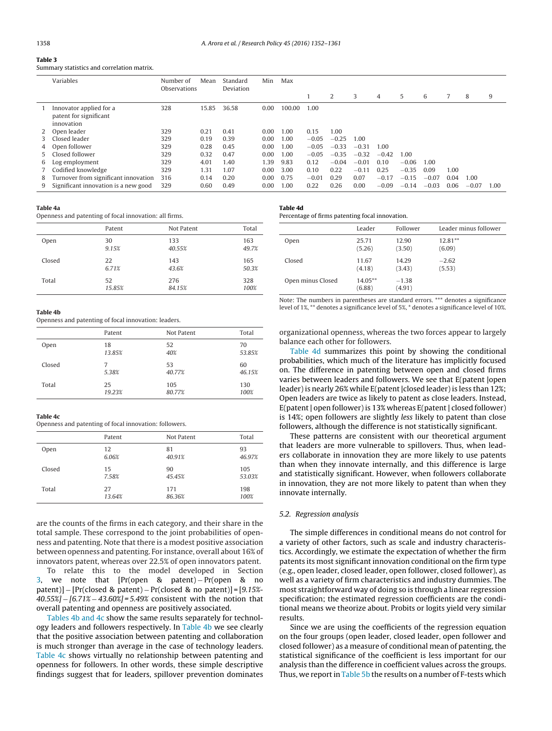## <span id="page-6-0"></span>**Table 3**

Summary statistics and correlation matrix.

|    | Variables                                                       | Number of<br><b>Observations</b> | Mean  | Standard<br>Deviation | Min  | Max    |         |         |         |         |         |         |      |         |      |
|----|-----------------------------------------------------------------|----------------------------------|-------|-----------------------|------|--------|---------|---------|---------|---------|---------|---------|------|---------|------|
|    |                                                                 |                                  |       |                       |      |        |         | 2       | 3       | 4       | 5       | 6       |      | 8       | 9    |
|    | Innovator applied for a<br>patent for significant<br>innovation | 328                              | 15.85 | 36.58                 | 0.00 | 100.00 | 1.00    |         |         |         |         |         |      |         |      |
|    | Open leader                                                     | 329                              | 0.21  | 0.41                  | 0.00 | 1.00   | 0.15    | 1.00    |         |         |         |         |      |         |      |
| 3. | Closed leader                                                   | 329                              | 0.19  | 0.39                  | 0.00 | 1.00   | $-0.05$ | $-0.25$ | 1.00    |         |         |         |      |         |      |
| 4  | Open follower                                                   | 329                              | 0.28  | 0.45                  | 0.00 | 1.00   | $-0.05$ | $-0.33$ | $-0.31$ | 1.00    |         |         |      |         |      |
| 5. | Closed follower                                                 | 329                              | 0.32  | 0.47                  | 0.00 | 1.00   | $-0.05$ | $-0.35$ | $-0.32$ | $-0.42$ | 1.00    |         |      |         |      |
| 6  | Log employment                                                  | 329                              | 4.01  | 1.40                  | 1.39 | 9.83   | 0.12    | $-0.04$ | $-0.01$ | 0.10    | $-0.06$ | 1.00    |      |         |      |
|    | Codified knowledge                                              | 329                              | 1.31  | 1.07                  | 0.00 | 3.00   | 0.10    | 0.22    | $-0.11$ | 0.25    | $-0.35$ | 0.09    | 1.00 |         |      |
| 8  | Turnover from significant innovation                            | 316                              | 0.14  | 0.20                  | 0.00 | 0.75   | $-0.01$ | 0.29    | 0.07    | $-0.17$ | $-0.15$ | $-0.07$ | 0.04 | 1.00    |      |
| 9  | Significant innovation is a new good                            | 329                              | 0.60  | 0.49                  | 0.00 | 1.00   | 0.22    | 0.26    | 0.00    | $-0.09$ | $-0.14$ | $-0.03$ | 0.06 | $-0.07$ | 1.00 |

#### **Table 4a**

Openness and patenting of focal innovation: all firms.

|        | Patent | Not Patent | Total |
|--------|--------|------------|-------|
| Open   | 30     | 133        | 163   |
|        | 9.15%  | 40.55%     | 49.7% |
| Closed | 22     | 143        | 165   |
|        | 6.71%  | 43.6%      | 50.3% |
| Total  | 52     | 276        | 328   |
|        | 15.85% | 84.15%     | 100%  |

#### **Table 4b**

Openness and patenting of focal innovation: leaders.

|        | Patent | Not Patent | Total  |
|--------|--------|------------|--------|
| Open   | 18     | 52         | 70     |
|        | 13.85% | 40%        | 53.85% |
| Closed | 7      | 53         | 60     |
|        | 5.38%  | 40.77%     | 46.15% |
| Total  | 25     | 105        | 130    |
|        | 19.23% | 80.77%     | 100%   |

#### **Table 4c**

Openness and patenting of focal innovation: followers.

|        | Patent | Not Patent | Total  |
|--------|--------|------------|--------|
| Open   | 12     | 81         | 93     |
|        | 6.06%  | 40.91%     | 46.97% |
| Closed | 15     | 90         | 105    |
|        | 7.58%  | 45.45%     | 53.03% |
| Total  | 27     | 171        | 198    |
|        | 13.64% | 86.36%     | 100%   |
|        |        |            |        |

are the counts of the firms in each category, and their share in the total sample. These correspond to the joint probabilities of openness and patenting. Note that there is a modest positive association between openness and patenting. For instance, overall about 16% of innovators patent, whereas over 22.5% of open innovators patent.

To relate this to the model developed in Section [3,](#page-3-0) we note that [Pr(open & patent) – Pr(open & no patent)] − [Pr(closed & patent) − Pr(closed & no patent)] = [9.15%- 40.55%] − [6.71% − 43.60%] = 5.49% consistent with the notion that overall patenting and openness are positively associated.

Tables 4b and 4c show the same results separately for technology leaders and followers respectively. In Table 4b we see clearly that the positive association between patenting and collaboration is much stronger than average in the case of technology leaders. Table 4c shows virtually no relationship between patenting and openness for followers. In other words, these simple descriptive findings suggest that for leaders, spillover prevention dominates

#### **Table 4d** Percentage of firms patenting focal innovation.

|                   | Leader               | Follower          | Leader minus follower |
|-------------------|----------------------|-------------------|-----------------------|
| Open              | 25.71<br>(5.26)      | 12.90<br>(3.50)   | $12.81**$<br>(6.09)   |
| Closed            | 11.67<br>(4.18)      | 14.29<br>(3.43)   | $-2.62$<br>(5.53)     |
| Open minus Closed | $14.05***$<br>(6.88) | $-1.38$<br>(4.91) |                       |

Note: The numbers in parentheses are standard errors. \*\*\* denotes a significance level of 1%, \*\* denotes a significance level of 5%, \* denotes a significance level of 10%.

organizational openness, whereas the two forces appear to largely balance each other for followers.

Table 4d summarizes this point by showing the conditional probabilities, which much of the literature has implicitly focused on. The difference in patenting between open and closed firms varies between leaders and followers. We see that E(patent |open leader) is nearly 26% while E(patent | closed leader) is less than 12%; Open leaders are twice as likely to patent as close leaders. Instead, E(patent | open follower) is 13% whereas E(patent | closed follower) is 14%; open followers are slightly less likely to patent than close followers, although the difference is not statistically significant.

These patterns are consistent with our theoretical argument that leaders are more vulnerable to spillovers. Thus, when leaders collaborate in innovation they are more likely to use patents than when they innovate internally, and this difference is large and statistically significant. However, when followers collaborate in innovation, they are not more likely to patent than when they innovate internally.

## 5.2. Regression analysis

The simple differences in conditional means do not control for a variety of other factors, such as scale and industry characteristics. Accordingly, we estimate the expectation of whether the firm patents its most significant innovation conditional on the firm type (e.g., open leader, closed leader, open follower, closed follower), as well as a variety of firm characteristics and industry dummies. The most straightforward way of doing so is through a linear regression specification; the estimated regression coefficients are the conditional means we theorize about. Probits or logits yield very similar results.

Since we are using the coefficients of the regression equation on the four groups (open leader, closed leader, open follower and closed follower) as a measure of conditional mean of patenting, the statistical significance of the coefficient is less important for our analysis than the difference in coefficient values across the groups. Thus, we report in [Table](#page-7-0) 5b the results on a number of F-tests which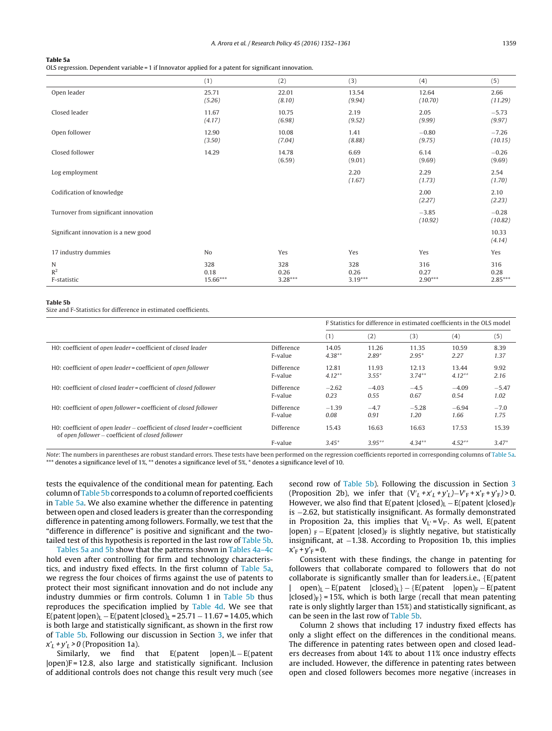#### <span id="page-7-0"></span>**Table 5a**

OLS regression. Dependent variable = 1 if Innovator applied for a patent for significant innovation.

|                                      | (1)                     | (2)                      | (3)                      | (4)                      | (5)                      |
|--------------------------------------|-------------------------|--------------------------|--------------------------|--------------------------|--------------------------|
| Open leader                          | 25.71<br>(5.26)         | 22.01<br>(8.10)          | 13.54<br>(9.94)          | 12.64<br>(10.70)         | 2.66<br>(11.29)          |
| Closed leader                        | 11.67<br>(4.17)         | 10.75<br>(6.98)          | 2.19<br>(9.52)           | 2.05<br>(9.99)           | $-5.73$<br>(9.97)        |
| Open follower                        | 12.90<br>(3.50)         | 10.08<br>(7.04)          | 1.41<br>(8.88)           | $-0.80$<br>(9.75)        | $-7.26$<br>(10.15)       |
| Closed follower                      | 14.29                   | 14.78<br>(6.59)          | 6.69<br>(9.01)           | 6.14<br>(9.69)           | $-0.26$<br>(9.69)        |
| Log employment                       |                         |                          | 2.20<br>(1.67)           | 2.29<br>(1.73)           | 2.54<br>(1.70)           |
| Codification of knowledge            |                         |                          |                          | 2.00<br>(2.27)           | 2.10<br>(2.23)           |
| Turnover from significant innovation |                         |                          |                          | $-3.85$<br>(10.92)       | $-0.28$<br>(10.82)       |
| Significant innovation is a new good |                         |                          |                          |                          | 10.33<br>(4.14)          |
| 17 industry dummies                  | N <sub>o</sub>          | Yes                      | Yes                      | Yes                      | Yes                      |
| N<br>R <sup>2</sup><br>F-statistic   | 328<br>0.18<br>15.66*** | 328<br>0.26<br>$3.28***$ | 328<br>0.26<br>$3.19***$ | 316<br>0.27<br>$2.90***$ | 316<br>0.28<br>$2.85***$ |

#### **Table 5b**

Size and F-Statistics for difference in estimated coefficients.

|                                                                                                                                  |            | F Statistics for difference in estimated coefficients in the OLS model |           |           |          |         |
|----------------------------------------------------------------------------------------------------------------------------------|------------|------------------------------------------------------------------------|-----------|-----------|----------|---------|
|                                                                                                                                  |            | (1)                                                                    | (2)       | (3)       | (4)      | (5)     |
| HO: coefficient of open leader = coefficient of closed leader                                                                    | Difference | 14.05                                                                  | 11.26     | 11.35     | 10.59    | 8.39    |
|                                                                                                                                  | F-value    | $4.38**$                                                               | $2.89*$   | $2.95*$   | 2.27     | 1.37    |
| H0: coefficient of open leader = coefficient of open follower                                                                    | Difference | 12.81                                                                  | 11.93     | 12.13     | 13.44    | 9.92    |
|                                                                                                                                  | F-value    | $4.12**$                                                               | $3.55*$   | $3.74***$ | $4.12**$ | 2.16    |
| H0: coefficient of closed leader = coefficient of closed follower                                                                | Difference | $-2.62$                                                                | $-4.03$   | $-4.5$    | $-4.09$  | $-5.47$ |
|                                                                                                                                  | F-value    | 0.23                                                                   | 0.55      | 0.67      | 0.54     | 1.02    |
| H0: coefficient of open follower = coefficient of closed follower                                                                | Difference | $-1.39$                                                                | $-4.7$    | $-5.28$   | $-6.94$  | $-7.0$  |
|                                                                                                                                  | F-value    | 0.08                                                                   | 0.91      | 1.20      | 1.66     | 1.75    |
| H0: coefficient of open leader – coefficient of closed leader = coefficient<br>of open follower – coefficient of closed follower | Difference | 15.43                                                                  | 16.63     | 16.63     | 17.53    | 15.39   |
|                                                                                                                                  | F-value    | $3.45*$                                                                | $3.95***$ | $4.34***$ | $4.52**$ | $3.47*$ |

Note: The numbers in parentheses are robust standard errors. These tests have been performed on the regression coefficients reported in corresponding columns of Table 5a. \*\*\* denotes a significance level of 1%, \*\* denotes a significance level of 5%, \* denotes a significance level of 10.

tests the equivalence of the conditional mean for patenting. Each column of Table 5b corresponds to a column of reported coefficients in Table 5a. We also examine whether the difference in patenting between open and closed leaders is greater than the corresponding difference in patenting among followers. Formally, we test that the "difference in difference" is positive and significant and the twotailed test of this hypothesis is reported in the last row of Table 5b.

Tables 5a and 5b show that the patterns shown in [Tables](#page-6-0) 4a–4c hold even after controlling for firm and technology characteristics, and industry fixed effects. In the first column of Table 5a, we regress the four choices of firms against the use of patents to protect their most significant innovation and do not include any industry dummies or firm controls. Column 1 in Table 5b thus reproduces the specification implied by [Table](#page-6-0) 4d. We see that E(patent  $|open|_L - E(paten t |closed)_L = 25.71 - 11.67 = 14.05$ , which is both large and statistically significant, as shown in the first row of Table 5b. Following our discussion in Section [3,](#page-3-0) we infer that  $x'_1 + y'_1 > 0$  (Proposition 1a).

Similarly, we find that  $E$ (patent  $|open)L - E$ (patent |open)F = 12.8, also large and statistically significant. Inclusion of additional controls does not change this result very much (see second row of Table 5b). Following the discussion in Section [3](#page-3-0) (Proposition 2b), we infer that  $(V_L + x_L' + y_L') - V_F + x_F' + y_F' > 0$ . However, we also find that E(patent  $|closed\rangle_L - E$ (patent  $|closed\rangle_F$ is −2.62, but statistically insignificant. As formally demonstrated in Proposition 2a, this implies that  $V_{L} = V_{F}$ . As well, E(patent |open)  $_F$  – E(patent |closed)<sub>F</sub> is slightly negative, but statistically insignificant, at −1.38. According to Proposition 1b, this implies  $X'_{F} + Y'_{F} = 0.$ 

Consistent with these findings, the change in patenting for followers that collaborate compared to followers that do not collaborate is significantly smaller than for leaders.i.e., {E(patent  $open)_L - E(patent \quad [closed)_L] - {E(patent \quad [open)_F - E(patent$  $|closed\rangle_F$  = 15%, which is both large (recall that mean patenting rate is only slightly larger than 15%) and statistically significant, as can be seen in the last row of Table 5b.

Column 2 shows that including 17 industry fixed effects has only a slight effect on the differences in the conditional means. The difference in patenting rates between open and closed leaders decreases from about 14% to about 11% once industry effects are included. However, the difference in patenting rates between open and closed followers becomes more negative (increases in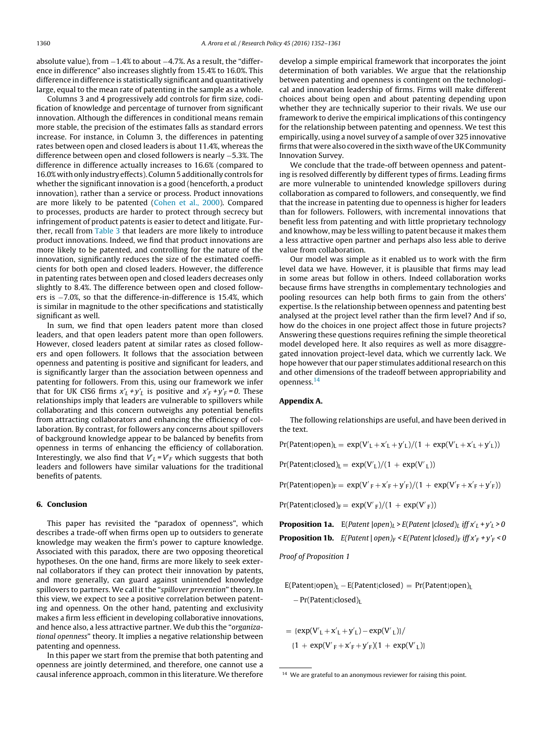<span id="page-8-0"></span>absolute value), from −1.4% to about −4.7%. As a result, the "difference in difference" also increases slightly from 15.4% to 16.0%. This difference in difference is statistically significant and quantitatively large, equal to the mean rate of patenting in the sample as a whole.

Columns 3 and 4 progressively add controls for firm size, codification of knowledge and percentage of turnover from significant innovation. Although the differences in conditional means remain more stable, the precision of the estimates falls as standard errors increase. For instance, in Column 3, the differences in patenting rates between open and closed leaders is about 11.4%, whereas the difference between open and closed followers is nearly −5.3%. The difference in difference actually increases to 16.6% (compared to 16.0% with only industry effects). Column 5 additionally controls for whether the significant innovation is a good (henceforth, a product innovation), rather than a service or process. Product innovations are more likely to be patented [\(Cohen](#page-9-0) et [al.,](#page-9-0) [2000\).](#page-9-0) Compared to processes, products are harder to protect through secrecy but infringement of product patents is easier to detect and litigate. Further, recall from [Table](#page-6-0) 3 that leaders are more likely to introduce product innovations. Indeed, we find that product innovations are more likely to be patented, and controlling for the nature of the innovation, significantly reduces the size of the estimated coefficients for both open and closed leaders. However, the difference in patenting rates between open and closed leaders decreases only slightly to 8.4%. The difference between open and closed followers is −7.0%, so that the difference-in-difference is 15.4%, which is similar in magnitude to the other specifications and statistically significant as well.

In sum, we find that open leaders patent more than closed leaders, and that open leaders patent more than open followers. However, closed leaders patent at similar rates as closed followers and open followers. It follows that the association between openness and patenting is positive and significant for leaders, and is significantly larger than the association between openness and patenting for followers. From this, using our framework we infer that for UK CIS6 firms  $x'_L + y'_L$  is positive and  $x'_F + y'_F = 0$ . These relationships imply that leaders are vulnerable to spillovers while collaborating and this concern outweighs any potential benefits from attracting collaborators and enhancing the efficiency of collaboration. By contrast, for followers any concerns about spillovers of background knowledge appear to be balanced by benefits from openness in terms of enhancing the efficiency of collaboration. Interestingly, we also find that  $V_L$  =  $V_F$  which suggests that both leaders and followers have similar valuations for the traditional benefits of patents.

## **6. Conclusion**

This paper has revisited the "paradox of openness", which describes a trade-off when firms open up to outsiders to generate knowledge may weaken the firm's power to capture knowledge. Associated with this paradox, there are two opposing theoretical hypotheses. On the one hand, firms are more likely to seek external collaborators if they can protect their innovation by patents, and more generally, can guard against unintended knowledge spillovers to partners. We call it the "spillover prevention" theory. In this view, we expect to see a positive correlation between patenting and openness. On the other hand, patenting and exclusivity makes a firm less efficient in developing collaborative innovations, and hence also, a less attractive partner. We dub this the "organizational openness" theory. It implies a negative relationship between patenting and openness.

In this paper we start from the premise that both patenting and openness are jointly determined, and therefore, one cannot use a causal inference approach, common in this literature. We therefore develop a simple empirical framework that incorporates the joint determination of both variables. We argue that the relationship between patenting and openness is contingent on the technological and innovation leadership of firms. Firms will make different choices about being open and about patenting depending upon whether they are technically superior to their rivals. We use our framework to derive the empirical implications of this contingency for the relationship between patenting and openness. We test this empirically, using a novel survey of a sample of over 325 innovative firms that were also covered in the sixth wave of the UK Community Innovation Survey.

We conclude that the trade-off between openness and patenting is resolved differently by different types of firms. Leading firms are more vulnerable to unintended knowledge spillovers during collaboration as compared to followers, and consequently, we find that the increase in patenting due to openness is higher for leaders than for followers. Followers, with incremental innovations that benefit less from patenting and with little proprietary technology and knowhow, may be less willing to patent because it makes them a less attractive open partner and perhaps also less able to derive value from collaboration.

Our model was simple as it enabled us to work with the firm level data we have. However, it is plausible that firms may lead in some areas but follow in others. Indeed collaboration works because firms have strengths in complementary technologies and pooling resources can help both firms to gain from the others' expertise. Is the relationship between openness and patenting best analysed at the project level rather than the firm level? And if so, how do the choices in one project affect those in future projects? Answering these questions requires refining the simple theoretical model developed here. It also requires as well as more disaggregated innovation project-level data, which we currently lack. We hope however that our paper stimulates additional research on this and other dimensions of the tradeoff between appropriability and openness.14

## **Appendix A.**

The following relationships are useful, and have been derived in the text.

 $Pr(Patent|open)_L = exp(V'_L + x'_L + y'_L)/(1 + exp(V'_L + x'_L + y'_L))$ 

 $Pr(Patent|closed)_L = exp(V'_{L})/(1 + exp(V'_{L}))$ 

 $Pr(Patent|open)_F = exp(V'_{F} + x'_{F} + y'_{F})/(1 + exp(V'_{F} + x'_{F} + y'_{F}))$ 

 $Pr(Patent|closed)_F = exp(V'_{F})/(1 + exp(V'_{F}))$ 

**Proposition 1a.** E(Patent  $|open\rangle_L$  > E(Patent  $|close\rangle_L$  iff  $x'_L + y'_L$  > 0 **Proposition 1b.**  $E(Paten t | open)_F \leq E(Paten t | closed)_F$  iff  $x'_F + y'_F \leq 0$ 

Proof of Proposition 1

 $E(Patent|open)_L - E(Patent|closed) = Pr(Patent|open)_L$ − Pr(Patent|closed)L

$$
= \frac{\left(\exp(V_{L} + x_{L}' + y_{L}') - \exp(V_{L}')\right)}{\left(1 + \exp(V_{F} + x_{F}' + y_{F}')\right(1 + \exp(V_{L}'))}
$$

<sup>&</sup>lt;sup>14</sup> We are grateful to an anonymous reviewer for raising this point.